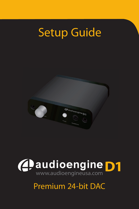# Setup Guide





## Premium 24-bit DAC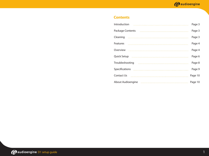## **Contents**

| Introduction      | Page 3  |
|-------------------|---------|
| Package Contents  | Page 3  |
| Cleaning          | Page 3  |
| Features          | Page 4  |
| Overview          | Page 4  |
| Quick Setup       | Page 6  |
| Troubleshooting   | Page 8  |
| Specifications    | Page 9  |
| Contact Us        | Page 10 |
| About Audioengine | Page 10 |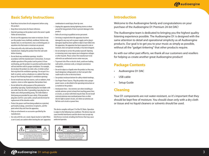## **Basic Safety Instructions**

- Read these instructions for all components before using this product.
- Keep these instructions for future reference.
- Heed all warnings on the product and in the owner's guide Follow all instructions.
- Do not use this apparatus near water or moisture. Do not use this product near a bathtub, washbowl, kitchen sink, laundry tub, in a wet basement, near a swimming pool, or anywhere else that water or moisture are present.
- Clean only with a dry cloth and as directed by the manufacturer. Unplug this product from the wall outle before cleaning.
- Do not block any ventilation openings. Install in accordance with the manufacturer's instructions.Toensure reliable operation of the product and to protect it from overheating, put the product in a position and location that will not interfere with its proper ventilation. For example, do not place the product on a bed, sofa, or similar surface that may block the ventilation openings. Do not put it in a built-in system, such as a bookcase or a cabinet that may keep air from flowing through it's ventilation openings.
- Do not install near any heat sources, such as radiators, heat registers, stoves or other apparatus that produce heat.
- Do not defeat the safety purpose of the polarized or grounding-type plug. A polarized plug has two blades with one wider than the other. A grounding-type plug has two blades and a third grounding prong. The wider blade or third prong are provided for your safety. If the provided plug does not fit in your outlet, consult and electrician for replacement of the obsolete outlet.
- Protect the power cord from being walked on or pinched, particularly at plugs, convenience receptacles, and the point where they exit from the apparatus.
- Only use attachments or accessories specified by the manufacturer.
- Use only with the cart, stand, tripod, bracket or table When a cart is used, use caution when moving the cart/apparatus



combination to avoid injury from tip-over.

- Unplug this apparatus during lightning storms or when unused for long periods of time to prevent damage to this product.
- Refer all servicing to qualified service personnel.
- Servicing is required when the apparatus has been damaged in any way such as power supply cord or plug is damaged, liquid has been spilled or objects have fallen into the apparatus, the apparatus has been exposed to rain or moisture, does not operate normally, or has been dropped.
- Do not attempt to service this product yourself. Opening or removing covers may expose you to dangerous voltages or other hazards. Please contact the manufacturer to be referred to an authorized service center near you.
- To prevent risk of fire or electric shock, avoid over loading wall outlets, extension cords, or integral convenience receptacles.
- Do not let objects or liquids enter the product as they may touch dangerous voltage points or short out parts that could result in a fire or electrical shock.
- See product enclosure bottom for safety related markings.
- Use Proper Power Sources. Plug the product into a proper power source, as described in the operating instructions or as marked on the product.
- Avoid power lines– Use extreme care when installing an outside antenna system to keep from touching power lines or circuits, as contact with them may be fatal. Do not install external antennas near overhead power lines or other electric light or power circuits, nor where an antenna can fall into such circuits or power lines.

This device complies with part 15 of the FCC Rules. Operation is subject to the following two conditions: This device may not cause harmful interference and this device must accept any interference received, including interference that may cause undesired operatio.



ÉLECTIQUE, NE RETIREZ PAS LE COUVERCLE (OU L'ARRIÈRE.) IL NE SE TROUVE ÀL'INTÉRIEURAUCUNE PIÉCE POUVANT ÊTRE RÉPARÉE PAR L'USAGER. S'ADRESSER ÀUN REÉPARATEUR COMÉTENT.

## **Introduction**

Welcome to the Audioengine family and congratulations on your purchase of the Audioengine D1 Premium 24-bit DAC!

The Audioengine team is dedicated to bringing you the highest quality listening experience possible. The Audioengine D1 is designed with the same attention to detail and operational simplicity as all Audioengine products. Our goal is to get you to your music as simply as possible, without all the "gadget tinkering" that other products require.

As with our other past efforts, we thank all our customers and resellers for helping us create another great Audioengine product!

## **Package Contents**

- Audioengine D1 DAC
- USB cable
- Setup Guide

## **Cleaning**

Your D1 components are not water-resistant, so it's important that they should be kept free of moisture. You should clean only with a dry cloth or tissue and no liquid cleaners or solvents should be used.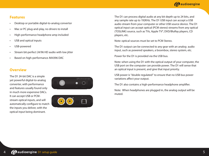## **4** audioengine

## **Features**

- Desktop or portable digital-to-analog convertor
- Mac or PC plug-and-play, no drivers to install
- High-performance headphone amp included
- USB and optical inputs
- USB-powered
- Stream bit-perfect 24/96 HD audio with low jitter
- Based on high-performance AK4396 DAC

## **Overview**

The D1 24-bit DAC is a simple yet powerful digital-to-analog converter, with performance and features usually found only in much more expensive DACs. It can accept USB or PCMstream optical inputs, and will automatically configure to match the inputs you deliver, with the optical input being dominant.





The D1 can process digital audio at any bit depth up to 24 bits, and any sample rate up to 192KHz. The D1 USB input can accept a USB audio stream from your computer or other USB source device. The D1 optical input can accept optical (PCM stereo) streams from any optical (TOSLINK) source, such as TVs, Apple TV®, DVD/BluRay players, CD players, etc.

Note: optical sources must be set to PCM Stereo.

The D1 output can be connected to any gear with an analog audio input, such as powered speakers, a boombox, stereo system, etc.

Power for the D1 is provided via the USB bus.

Note: when using the D1 with the optical output of your computer, the USB port on the computer can provide power. The D1 will sense that an optical input is present, and give that input priority.

USB power is "double regulated" to ensure that no USB bus power variations affect your output.

The D1 also contains a high-performance headphone amplifier.

Note: When headphones are plugged in, the analog output will be muted.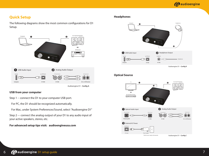## **Quick Setup**

The following diagrams show the most common configurations for D1 Setup.



Audioengine D1 - Config A

#### **USB from your computer**

Step 1 -- connect the D1 to your computer USB port.

For PC, the D1 should be recognized automatically.

For Mac, under System Preferences/Sound, select "Audioengine D1"

Step 2 –- connect the analog output of your D1 to any audio input of your active speakers, stereo, etc.

#### **For advanced setup tips visit: audioengineusa.com**

#### **Headphones**



#### **Optical Source**

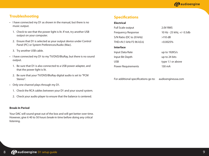## **Troubleshooting**

- I have connected my D1 as shown in the manual, but there is no music output.
	- 1. Check to see that the power light is lit. If not, try another USB output on your computer.
	- 2. Ensure that D1 is selected as your output device under Control Panel (PC) or System Preferences/Audio (Mac).
	- 3. Try another USB cable.
- I have connected my D1 to my TV/DVD/BluRay, but there is no sound output.
	- 1. Be sure that D1 is also connected to a USB power adapter, and that the power light is lit.
	- 2. Be sure that your TV/DVD/BluRay digital audio is set to "PCM Stereo".
- Only one channel plays through my D1.
	- 1. Check the RCA cables between your D1 and your sound system.
	- 2. Check your audio player to ensure that the balance is centered.

#### **Break-In Period**

Your DAC will sound great out of the box and will get better over time. However, give it 40 to 50 hours break-in time before doing any critical listening.

## **Specifications**

#### **Electrical**

| <b>Full Scale output</b>  | 2.0V RMS                  |
|---------------------------|---------------------------|
| <b>Frequency Response</b> | 10 Hz - 25 kHz, +/- 0.5db |
| S/N Ratio (DC to 20 kHz)  | $>110$ dB                 |
| THD+N (1 kHz FS 96 kS/s)  | $< 0.0025\%$              |
| <b>Interface</b>          |                           |
| Input Data Rate           | up to $192KS/s$           |
| Input Bit Depth           | up to 24 bits             |
| <b>USB</b>                | type 1.1 or above         |
| <b>Power Requirements</b> | 130 mA                    |

For additional specifications go to: audioengineusa.com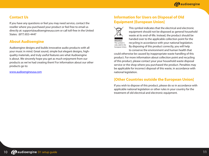## **Contact Us**

If you have any questions or feel you may need service, contact the reseller where you purchased your product or feel free to email us directly at: support@audioengineusa.com or call toll-free in the United States: (877) 853-4447

## **About Audioengine**

Audioengine designs and builds innovative audio products with all your music in mind. Great sound, simple but elegant designs, highquality materials, and truly useful features are what Audioengine is about. We sincerely hope you get as much enjoyment from our products as we've had creating them! For information about our other products go to:

www.audioengineusa.com

## **Information for Users on Disposal of Old Equipment [European Union]**



This symbol indicates that the electrical and electronic equipment should not be disposed as general household waste at its end-of-life. Instead, the product should be handed over to the applicable collection point for the recycling in accordance with your national legislation. By disposing of this product correctly, you will help to conserve the environment and human health that

could otherwise be caused by inappropriate waste handling of this product. For more information about collection point and recycling of this product, please contact your your household waste disposal service or the shop where you purchased the product. Penalties may be applicable for incorrect disposal of this waste, in accordance with national legislation.

## **[Other Countries outside the European Union]**

If you wish to dispose of this product, please do so in accordance with applicable national legislation or other rules in your country for the treatment of old electrical and electronic equipment.